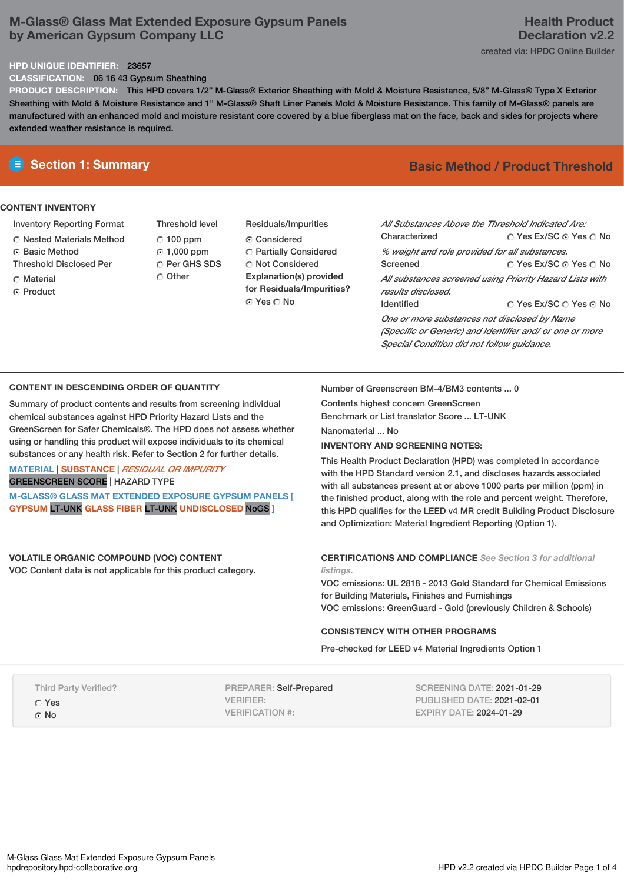# **M-Glass® Glass Mat Extended Exposure Gypsum Panels by American Gypsum Company LLC**

#### **HPD UNIQUE IDENTIFIER:** 23657

**CLASSIFICATION:** 06 16 43 Gypsum Sheathing

**PRODUCT DESCRIPTION:** This HPD covers 1/2" M-Glass® Exterior Sheathing with Mold & Moisture Resistance, 5/8" M-Glass® Type X Exterior Sheathing with Mold & Moisture Resistance and 1" M-Glass® Shaft Liner Panels Mold & Moisture Resistance. This family of M-Glass® panels are manufactured with an enhanced mold and moisture resistant core covered by a blue fiberglass mat on the face, back and sides for projects where extended weather resistance is required.

## **CONTENT INVENTORY**

- Inventory Reporting Format
- Nested Materials Method
- **G** Basic Method
- Threshold Disclosed Per
- **C** Material
- ⊙ Product
- Threshold level  $C$  100 ppm 1,000 ppm C Per GHS SDS C Other
- Residuals/Impurities Considered Partially Considered C Not Considered **Explanation(s) provided for Residuals/Impurities?** ⊙ Yes O No

# **E** Section 1: Summary **Basic Method /** Product Threshold

| All Substances Above the Threshold Indicated Are:        |                        |  |  |  |
|----------------------------------------------------------|------------------------|--|--|--|
| Characterized                                            | ○ Yes Ex/SC ⊙ Yes ○ No |  |  |  |
| % weight and role provided for all substances.           |                        |  |  |  |
| Screened                                                 | ∩ Yes Ex/SC ∩ Yes ∩ No |  |  |  |
| All substances screened using Priority Hazard Lists with |                        |  |  |  |
| results disclosed.                                       |                        |  |  |  |
| <b>Identified</b>                                        | ∩ Yes Ex/SC ∩ Yes ∩ No |  |  |  |
| One or more substances not disclosed by Name             |                        |  |  |  |
| (Specific or Generic) and Identifier and/ or one or more |                        |  |  |  |
| Special Condition did not follow quidance.               |                        |  |  |  |

# **CONTENT IN DESCENDING ORDER OF QUANTITY**

Summary of product contents and results from screening individual chemical substances against HPD Priority Hazard Lists and the GreenScreen for Safer Chemicals®. The HPD does not assess whether using or handling this product will expose individuals to its chemical substances or any health risk. Refer to Section 2 for further details.

**MATERIAL** | **SUBSTANCE** | *RESIDUAL OR IMPURITY* GREENSCREEN SCORE | HAZARD TYPE

**M-GLASS® GLASS MAT EXTENDED EXPOSURE GYPSUM PANELS [ GYPSUM** LT-UNK **GLASS FIBER** LT-UNK **UNDISCLOSED** NoGS **]**

## **VOLATILE ORGANIC COMPOUND (VOC) CONTENT**

VOC Content data is not applicable for this product category.

Number of Greenscreen BM-4/BM3 contents ... 0

Contents highest concern GreenScreen

Benchmark or List translator Score ... LT-UNK

Nanomaterial ... No

# **INVENTORY AND SCREENING NOTES:**

This Health Product Declaration (HPD) was completed in accordance with the HPD Standard version 2.1, and discloses hazards associated with all substances present at or above 1000 parts per million (ppm) in the finished product, along with the role and percent weight. Therefore, this HPD qualifies for the LEED v4 MR credit Building Product Disclosure and Optimization: Material Ingredient Reporting (Option 1).

### **CERTIFICATIONS AND COMPLIANCE** *See Section 3 for additional listings.*

VOC emissions: UL 2818 - 2013 Gold Standard for Chemical Emissions for Building Materials, Finishes and Furnishings VOC emissions: GreenGuard - Gold (previously Children & Schools)

## **CONSISTENCY WITH OTHER PROGRAMS**

Pre-checked for LEED v4 Material Ingredients Option 1

Third Party Verified?

Yes

G No

PREPARER: Self-Prepared VERIFIER: VERIFICATION #:

SCREENING DATE: 2021-01-29 PUBLISHED DATE: 2021-02-01 EXPIRY DATE: 2024-01-29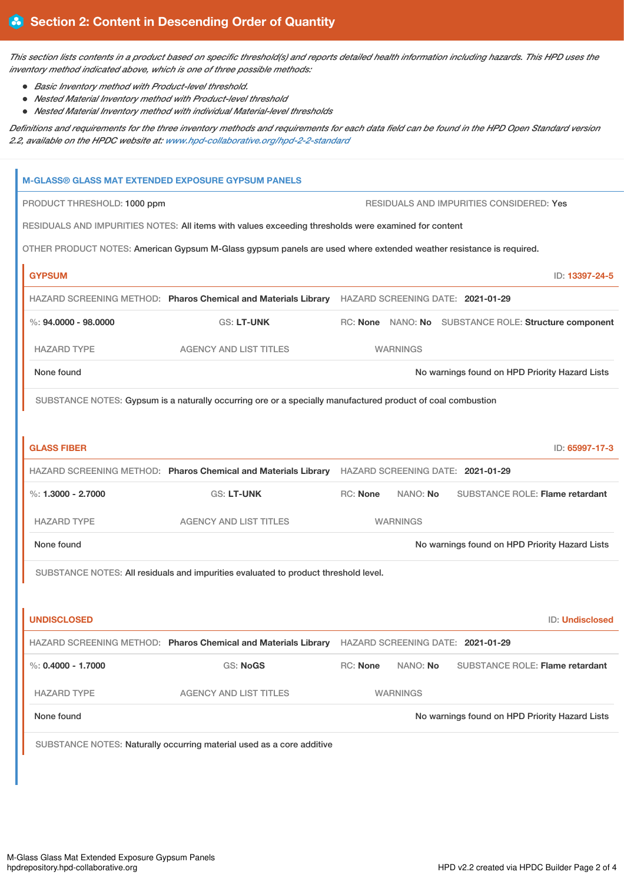This section lists contents in a product based on specific threshold(s) and reports detailed health information including hazards. This HPD uses the *inventory method indicated above, which is one of three possible methods:*

- *Basic Inventory method with Product-level threshold.*
- *Nested Material Inventory method with Product-level threshold*
- *Nested Material Inventory method with individual Material-level thresholds*

Definitions and requirements for the three inventory methods and requirements for each data field can be found in the HPD Open Standard version *2.2, available on the HPDC website at: [www.hpd-collaborative.org/hpd-2-2-standard](https://www.hpd-collaborative.org/hpd-2-2-standard)*

| <b>M-GLASS® GLASS MAT EXTENDED EXPOSURE GYPSUM PANELS</b>                                                          |                                                                                                  |          |                 |  |                                                       |  |  |
|--------------------------------------------------------------------------------------------------------------------|--------------------------------------------------------------------------------------------------|----------|-----------------|--|-------------------------------------------------------|--|--|
| PRODUCT THRESHOLD: 1000 ppm                                                                                        | RESIDUALS AND IMPURITIES CONSIDERED: Yes                                                         |          |                 |  |                                                       |  |  |
| RESIDUALS AND IMPURITIES NOTES: All items with values exceeding thresholds were examined for content               |                                                                                                  |          |                 |  |                                                       |  |  |
| OTHER PRODUCT NOTES: American Gypsum M-Glass gypsum panels are used where extended weather resistance is required. |                                                                                                  |          |                 |  |                                                       |  |  |
| <b>GYPSUM</b>                                                                                                      |                                                                                                  |          |                 |  | ID: 13397-24-5                                        |  |  |
|                                                                                                                    | HAZARD SCREENING METHOD: Pharos Chemical and Materials Library HAZARD SCREENING DATE: 2021-01-29 |          |                 |  |                                                       |  |  |
| $\%$ : 94,0000 - 98,0000                                                                                           | <b>GS: LT-UNK</b>                                                                                |          |                 |  | RC: None NANO: No SUBSTANCE ROLE: Structure component |  |  |
| <b>HAZARD TYPE</b>                                                                                                 | <b>AGENCY AND LIST TITLES</b>                                                                    |          | <b>WARNINGS</b> |  |                                                       |  |  |
| None found                                                                                                         | No warnings found on HPD Priority Hazard Lists                                                   |          |                 |  |                                                       |  |  |
| SUBSTANCE NOTES: Gypsum is a naturally occurring ore or a specially manufactured product of coal combustion        |                                                                                                  |          |                 |  |                                                       |  |  |
|                                                                                                                    |                                                                                                  |          |                 |  |                                                       |  |  |
| <b>GLASS FIBER</b>                                                                                                 |                                                                                                  |          |                 |  | ID: 65997-17-3                                        |  |  |
|                                                                                                                    | HAZARD SCREENING METHOD: Pharos Chemical and Materials Library HAZARD SCREENING DATE: 2021-01-29 |          |                 |  |                                                       |  |  |
| %: $1,3000 - 2,7000$                                                                                               | <b>GS: LT-UNK</b>                                                                                | RC: None | NANO: No        |  | <b>SUBSTANCE ROLE: Flame retardant</b>                |  |  |
| <b>HAZARD TYPE</b>                                                                                                 | <b>AGENCY AND LIST TITLES</b>                                                                    |          | <b>WARNINGS</b> |  |                                                       |  |  |
| None found                                                                                                         |                                                                                                  |          |                 |  | No warnings found on HPD Priority Hazard Lists        |  |  |
| SUBSTANCE NOTES: All residuals and impurities evaluated to product threshold level.                                |                                                                                                  |          |                 |  |                                                       |  |  |
|                                                                                                                    |                                                                                                  |          |                 |  |                                                       |  |  |
| <b>UNDISCLOSED</b>                                                                                                 |                                                                                                  |          |                 |  | ID: Undisclosed                                       |  |  |
|                                                                                                                    | HAZARD SCREENING METHOD: Pharos Chemical and Materials Library HAZARD SCREENING DATE: 2021-01-29 |          |                 |  |                                                       |  |  |
| %: $0.4000 - 1.7000$                                                                                               | <b>GS: NoGS</b>                                                                                  | RC: None | NANO: No        |  | <b>SUBSTANCE ROLE: Flame retardant</b>                |  |  |
| <b>HAZARD TYPE</b>                                                                                                 | <b>AGENCY AND LIST TITLES</b>                                                                    |          | <b>WARNINGS</b> |  |                                                       |  |  |
| None found                                                                                                         |                                                                                                  |          |                 |  | No warnings found on HPD Priority Hazard Lists        |  |  |
|                                                                                                                    | SUBSTANCE NOTES: Naturally occurring material used as a core additive                            |          |                 |  |                                                       |  |  |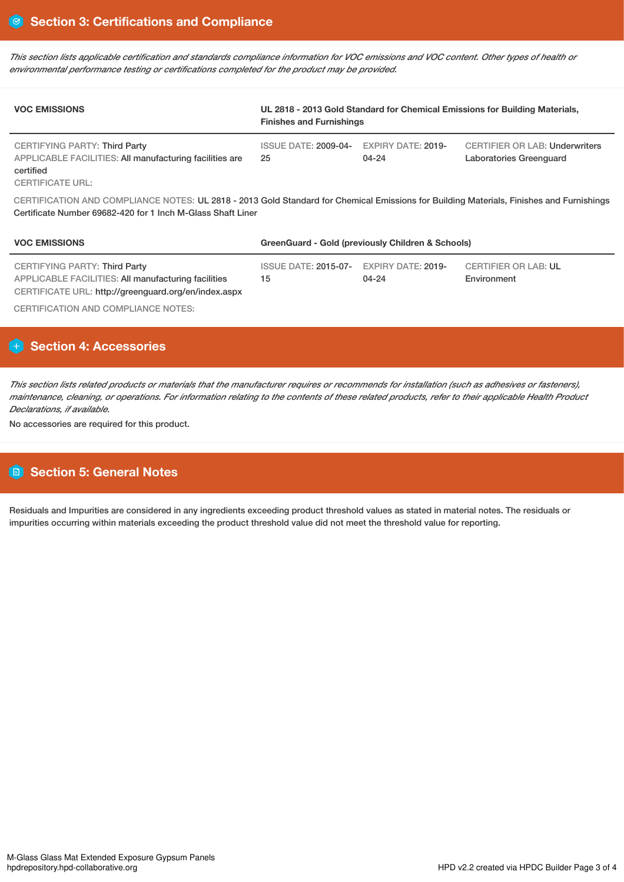This section lists applicable certification and standards compliance information for VOC emissions and VOC content. Other types of health or *environmental performance testing or certifications completed for the product may be provided.*

| <b>VOC EMISSIONS</b>                                                                                                                                                                                    | UL 2818 - 2013 Gold Standard for Chemical Emissions for Building Materials,<br><b>Finishes and Furnishings</b> |                                    |                                                                  |  |  |  |  |
|---------------------------------------------------------------------------------------------------------------------------------------------------------------------------------------------------------|----------------------------------------------------------------------------------------------------------------|------------------------------------|------------------------------------------------------------------|--|--|--|--|
| CERTIFYING PARTY: Third Party<br>APPLICABLE FACILITIES: All manufacturing facilities are<br>certified<br><b>CERTIFICATE URL:</b>                                                                        | <b>ISSUE DATE: 2009-04-</b><br>25                                                                              | <b>EXPIRY DATE: 2019-</b><br>04-24 | <b>CERTIFIER OR LAB: Underwriters</b><br>Laboratories Greenquard |  |  |  |  |
| CERTIFICATION AND COMPLIANCE NOTES: UL 2818 - 2013 Gold Standard for Chemical Emissions for Building Materials, Finishes and Furnishings<br>Certificate Number 69682-420 for 1 Inch M-Glass Shaft Liner |                                                                                                                |                                    |                                                                  |  |  |  |  |
| <b>VOC EMISSIONS</b>                                                                                                                                                                                    | GreenGuard - Gold (previously Children & Schools)                                                              |                                    |                                                                  |  |  |  |  |
| CERTIFYING PARTY: Third Party                                                                                                                                                                           | <b>ISSUE DATE: 2015-07-</b>                                                                                    | <b>EXPIRY DATE: 2019-</b>          | <b>CERTIFIER OR LAB: UL</b>                                      |  |  |  |  |

04-24

Environment

APPLICABLE FACILITIES: All manufacturing facilities CERTIFICATE URL: http://greenguard.org/en/index.aspx

CERTIFICATION AND COMPLIANCE NOTES:

# **H** Section 4: Accessories

This section lists related products or materials that the manufacturer requires or recommends for installation (such as adhesives or fasteners), maintenance, cleaning, or operations. For information relating to the contents of these related products, refer to their applicable Health Product *Declarations, if available.*

15

No accessories are required for this product.

# **Section 5: General Notes**

Residuals and Impurities are considered in any ingredients exceeding product threshold values as stated in material notes. The residuals or impurities occurring within materials exceeding the product threshold value did not meet the threshold value for reporting.